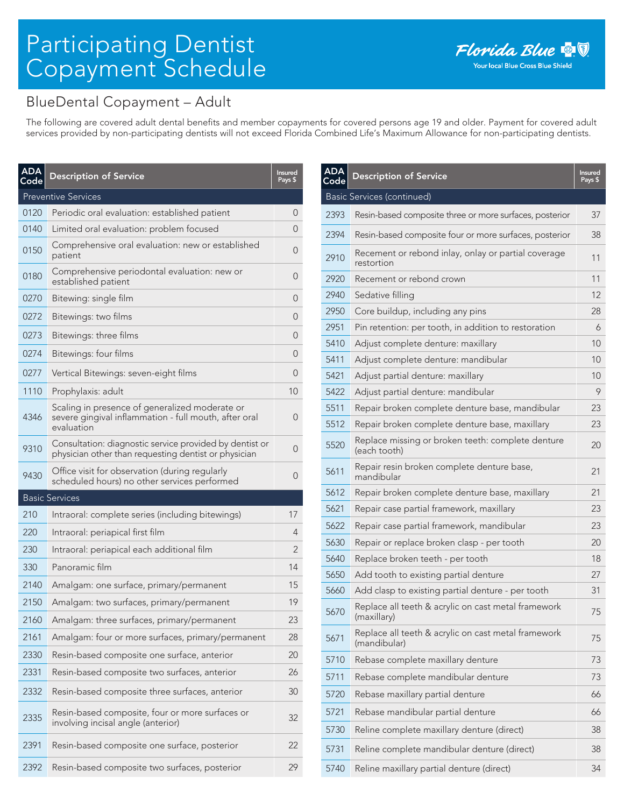## Participating Dentist Copayment Schedule

## BlueDental Copayment – Adult

The following are covered adult dental benefits and member copayments for covered persons age 19 and older. Payment for covered adult services provided by non-participating dentists will not exceed Florida Combined Life's Maximum Allowance for non-participating dentists.

| <b>ADA</b><br>Code | <b>Description of Service</b>                                                                                         | <b>Insured</b><br>Pays \$ |
|--------------------|-----------------------------------------------------------------------------------------------------------------------|---------------------------|
|                    | <b>Preventive Services</b>                                                                                            |                           |
| 0120               | Periodic oral evaluation: established patient                                                                         | 0                         |
| 0140               | Limited oral evaluation: problem focused                                                                              | 0                         |
| 0150               | Comprehensive oral evaluation: new or established<br>patient                                                          | 0                         |
| 0180               | Comprehensive periodontal evaluation: new or<br>established patient                                                   | 0                         |
| 0270               | Bitewing: single film                                                                                                 | 0                         |
| 0272               | Bitewings: two films                                                                                                  | O                         |
| 0273               | Bitewings: three films                                                                                                | 0                         |
| 0274               | Bitewings: four films                                                                                                 | 0                         |
| 0277               | Vertical Bitewings: seven-eight films                                                                                 | 0                         |
| 1110               | Prophylaxis: adult                                                                                                    | 10 <sup>°</sup>           |
| 4346               | Scaling in presence of generalized moderate or<br>severe gingival inflammation - full mouth, after oral<br>evaluation | O                         |
| 9310               | Consultation: diagnostic service provided by dentist or<br>physician other than requesting dentist or physician       | 0                         |
| 9430               | Office visit for observation (during regularly<br>scheduled hours) no other services performed                        | 0                         |
|                    | <b>Basic Services</b>                                                                                                 |                           |
| 210                | Intraoral: complete series (including bitewings)                                                                      | 17                        |
| 220                | Intraoral: periapical first film                                                                                      | 4                         |
| 230                | Intraoral: periapical each additional film                                                                            | 2                         |
| 330                | Panoramic film                                                                                                        | 14                        |
| 2140               | Amalgam: one surface, primary/permanent                                                                               | 15                        |
| 2150               | Amalgam: two surfaces, primary/permanent                                                                              | 19                        |
| 2160               | Amalgam: three surfaces, primary/permanent                                                                            | 23                        |
| 2161               | Amalgam: four or more surfaces, primary/permanent                                                                     | 28                        |
| 2330               | Resin-based composite one surface, anterior                                                                           | 20                        |
| 2331               | Resin-based composite two surfaces, anterior                                                                          | 26                        |
| 2332               | Resin-based composite three surfaces, anterior                                                                        | 30                        |
| 2335               | Resin-based composite, four or more surfaces or<br>involving incisal angle (anterior)                                 | 32                        |
| 2391               | Resin-based composite one surface, posterior                                                                          | 22                        |
| 2392               | Resin-based composite two surfaces, posterior                                                                         | 29                        |

| <b>ADA</b><br>Code | <b>Description of Service</b>                                       | <b>Insured</b><br>Pays \$ |
|--------------------|---------------------------------------------------------------------|---------------------------|
|                    | Basic Services (continued)                                          |                           |
| 2393               | Resin-based composite three or more surfaces, posterior             | 37                        |
| 2394               | Resin-based composite four or more surfaces, posterior              | 38                        |
| 2910               | Recement or rebond inlay, onlay or partial coverage<br>restortion   | 11                        |
| 2920               | Recement or rebond crown                                            | 11                        |
| 2940               | Sedative filling                                                    | 12                        |
| 2950               | Core buildup, including any pins                                    | 28                        |
| 2951               | Pin retention: per tooth, in addition to restoration                | 6                         |
| 5410               | Adjust complete denture: maxillary                                  | 10                        |
| 5411               | Adjust complete denture: mandibular                                 | 10                        |
| 5421               | Adjust partial denture: maxillary                                   | 10                        |
| 5422               | Adjust partial denture: mandibular                                  | 9                         |
| 5511               | Repair broken complete denture base, mandibular                     | 23                        |
| 5512               | Repair broken complete denture base, maxillary                      | 23                        |
| 5520               | Replace missing or broken teeth: complete denture<br>(each tooth)   | 20                        |
| 5611               | Repair resin broken complete denture base,<br>mandibular            | 21                        |
| 5612               | Repair broken complete denture base, maxillary                      | 21                        |
| 5621               | Repair case partial framework, maxillary                            | 23                        |
| 5622               | Repair case partial framework, mandibular                           | 23                        |
| 5630               | Repair or replace broken clasp - per tooth                          | 20                        |
| 5640               | Replace broken teeth - per tooth                                    | 18                        |
| 5650               | Add tooth to existing partial denture                               | 27                        |
| 5660               | Add clasp to existing partial denture - per tooth                   | 31                        |
| 5670               | Replace all teeth & acrylic on cast metal framework<br>(maxillary)  | 75                        |
| 5671               | Replace all teeth & acrylic on cast metal framework<br>(mandibular) | 75                        |
| 5710               | Rebase complete maxillary denture                                   | 73                        |
| 5711               | Rebase complete mandibular denture                                  | 73                        |
| 5720               | Rebase maxillary partial denture                                    | 66                        |
| 5721               | Rebase mandibular partial denture                                   | 66                        |
| 5730               | Reline complete maxillary denture (direct)                          | 38                        |
| 5731               | Reline complete mandibular denture (direct)                         | 38                        |
| 5740               | Reline maxillary partial denture (direct)                           | 34                        |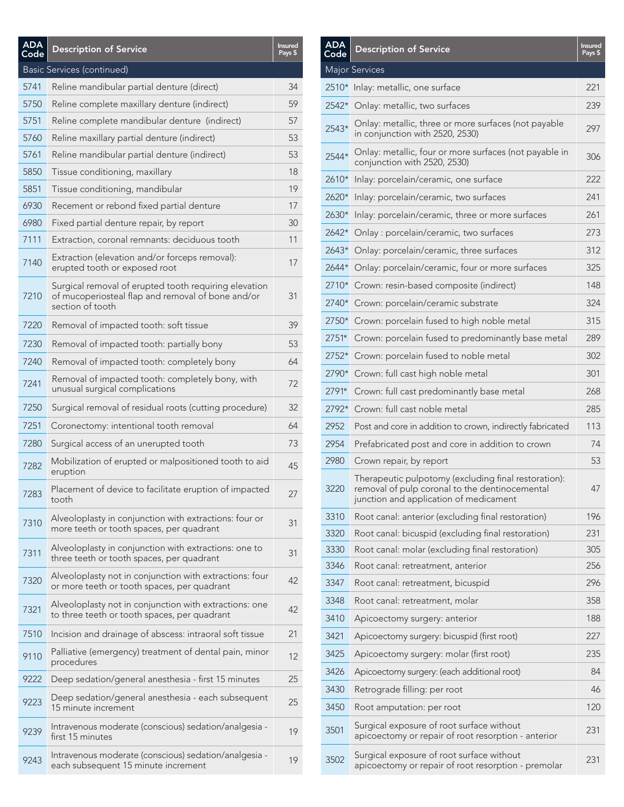| <b>ADA</b><br>Code | <b>Description of Service</b>                                                                                                  | <b>Insured</b><br>Pays \$ |
|--------------------|--------------------------------------------------------------------------------------------------------------------------------|---------------------------|
|                    | Basic Services (continued)                                                                                                     |                           |
| 5741               | Reline mandibular partial denture (direct)                                                                                     | 34                        |
| 5750               | Reline complete maxillary denture (indirect)                                                                                   | 59                        |
| 5751               | Reline complete mandibular denture (indirect)                                                                                  | 57                        |
| 5760               | Reline maxillary partial denture (indirect)                                                                                    | 53                        |
| 5761               | Reline mandibular partial denture (indirect)                                                                                   | 53                        |
| 5850               | Tissue conditioning, maxillary                                                                                                 | 18                        |
| 5851               | Tissue conditioning, mandibular                                                                                                | 19                        |
| 6930               | Recement or rebond fixed partial denture                                                                                       | 17                        |
| 6980               | Fixed partial denture repair, by report                                                                                        | 30                        |
| 7111               | Extraction, coronal remnants: deciduous tooth                                                                                  | 11                        |
| 7140               | Extraction (elevation and/or forceps removal):<br>erupted tooth or exposed root                                                | 17                        |
| 7210               | Surgical removal of erupted tooth requiring elevation<br>of mucoperiosteal flap and removal of bone and/or<br>section of tooth | 31                        |
| 7220               | Removal of impacted tooth: soft tissue                                                                                         | 39                        |
| 7230               | Removal of impacted tooth: partially bony                                                                                      | 53                        |
| 7240               | Removal of impacted tooth: completely bony                                                                                     | 64                        |
| 7241               | Removal of impacted tooth: completely bony, with<br>unusual surgical complications                                             | 72                        |
| 7250               | Surgical removal of residual roots (cutting procedure)                                                                         | 32                        |
| 7251               | Coronectomy: intentional tooth removal                                                                                         | 64                        |
| 7280               | Surgical access of an unerupted tooth                                                                                          | 73                        |
| 7282               | Mobilization of erupted or malpositioned tooth to aid<br>eruption                                                              | 45                        |
| 7283               | Placement of device to facilitate eruption of impacted<br>tooth                                                                | 27                        |
| 7310               | Alveoloplasty in conjunction with extractions: four or<br>more teeth or tooth spaces, per quadrant                             | 31                        |
| 7311               | Alveoloplasty in conjunction with extractions: one to<br>three teeth or tooth spaces, per quadrant                             | 31                        |
| 7320               | Alveoloplasty not in conjunction with extractions: four<br>or more teeth or tooth spaces, per quadrant                         | 42                        |
| 7321               | Alveoloplasty not in conjunction with extractions: one<br>to three teeth or tooth spaces, per quadrant                         | 42                        |
| 7510               | Incision and drainage of abscess: intraoral soft tissue                                                                        | 21                        |
| 9110               | Palliative (emergency) treatment of dental pain, minor<br>procedures                                                           | 12                        |
| 9222               | Deep sedation/general anesthesia - first 15 minutes                                                                            | 25                        |
| 9223               | Deep sedation/general anesthesia - each subsequent<br>15 minute increment                                                      | 25                        |
| 9239               | Intravenous moderate (conscious) sedation/analgesia -<br>first 15 minutes                                                      | 19                        |
| 9243               | Intravenous moderate (conscious) sedation/analgesia -<br>each subsequent 15 minute increment                                   | 19                        |

| Major Services<br>2510* Inlay: metallic, one surface<br>221<br>2542*<br>Onlay: metallic, two surfaces<br>239<br>Onlay: metallic, three or more surfaces (not payable<br>2543*<br>297<br>in conjunction with 2520, 2530)<br>Onlay: metallic, four or more surfaces (not payable in<br>2544*<br>306<br>conjunction with 2520, 2530)<br>2610*<br>Inlay: porcelain/ceramic, one surface<br>222<br>2620*<br>Inlay: porcelain/ceramic, two surfaces<br>241<br>2630*<br>Inlay: porcelain/ceramic, three or more surfaces<br>261<br>2642*<br>273<br>Onlay: porcelain/ceramic, two surfaces<br>$2643*$<br>312<br>Onlay: porcelain/ceramic, three surfaces<br>2644*<br>Onlay: porcelain/ceramic, four or more surfaces<br>325<br>2710*<br>Crown: resin-based composite (indirect)<br>148<br>2740*<br>324<br>Crown: porcelain/ceramic substrate<br>2750*<br>Crown: porcelain fused to high noble metal<br>315<br>2751*<br>Crown: porcelain fused to predominantly base metal<br>289<br>Crown: porcelain fused to noble metal<br>2752*<br>302<br>301<br>2790*<br>Crown: full cast high noble metal<br>2791*<br>Crown: full cast predominantly base metal<br>268<br>Crown: full cast noble metal<br>2792*<br>285<br>2952<br>113<br>Post and core in addition to crown, indirectly fabricated<br>2954<br>Prefabricated post and core in addition to crown<br>74<br>2980<br>53<br>Crown repair, by report<br>Therapeutic pulpotomy (excluding final restoration):<br>3220<br>47<br>removal of pulp coronal to the dentinocemental<br>junction and application of medicament<br>3310<br>196<br>Root canal: anterior (excluding final restoration)<br>3320<br>Root canal: bicuspid (excluding final restoration)<br>231<br>3330<br>305<br>Root canal: molar (excluding final restoration)<br>3346<br>256<br>Root canal: retreatment, anterior<br>296<br>3347<br>Root canal: retreatment, bicuspid<br>3348<br>Root canal: retreatment, molar<br>358<br>3410<br>188<br>Apicoectomy surgery: anterior<br>3421<br>Apicoectomy surgery: bicuspid (first root)<br>227<br>Apicoectomy surgery: molar (first root)<br>235<br>3425<br>3426<br>84<br>Apicoectomy surgery: (each additional root)<br>3430<br>Retrograde filling: per root<br>46<br>3450<br>120<br>Root amputation: per root<br>Surgical exposure of root surface without<br>3501<br>231<br>apicoectomy or repair of root resorption - anterior<br>Surgical exposure of root surface without<br>3502<br>231<br>apicoectomy or repair of root resorption - premolar | <b>ADA</b><br>Code | <b>Description of Service</b> | <b>Insured</b><br>Pays \$ |
|-------------------------------------------------------------------------------------------------------------------------------------------------------------------------------------------------------------------------------------------------------------------------------------------------------------------------------------------------------------------------------------------------------------------------------------------------------------------------------------------------------------------------------------------------------------------------------------------------------------------------------------------------------------------------------------------------------------------------------------------------------------------------------------------------------------------------------------------------------------------------------------------------------------------------------------------------------------------------------------------------------------------------------------------------------------------------------------------------------------------------------------------------------------------------------------------------------------------------------------------------------------------------------------------------------------------------------------------------------------------------------------------------------------------------------------------------------------------------------------------------------------------------------------------------------------------------------------------------------------------------------------------------------------------------------------------------------------------------------------------------------------------------------------------------------------------------------------------------------------------------------------------------------------------------------------------------------------------------------------------------------------------------------------------------------------------------------------------------------------------------------------------------------------------------------------------------------------------------------------------------------------------------------------------------------------------------------------------------------------------------------------------------------------------------------------------------------------------------------------------------------|--------------------|-------------------------------|---------------------------|
|                                                                                                                                                                                                                                                                                                                                                                                                                                                                                                                                                                                                                                                                                                                                                                                                                                                                                                                                                                                                                                                                                                                                                                                                                                                                                                                                                                                                                                                                                                                                                                                                                                                                                                                                                                                                                                                                                                                                                                                                                                                                                                                                                                                                                                                                                                                                                                                                                                                                                                       |                    |                               |                           |
|                                                                                                                                                                                                                                                                                                                                                                                                                                                                                                                                                                                                                                                                                                                                                                                                                                                                                                                                                                                                                                                                                                                                                                                                                                                                                                                                                                                                                                                                                                                                                                                                                                                                                                                                                                                                                                                                                                                                                                                                                                                                                                                                                                                                                                                                                                                                                                                                                                                                                                       |                    |                               |                           |
|                                                                                                                                                                                                                                                                                                                                                                                                                                                                                                                                                                                                                                                                                                                                                                                                                                                                                                                                                                                                                                                                                                                                                                                                                                                                                                                                                                                                                                                                                                                                                                                                                                                                                                                                                                                                                                                                                                                                                                                                                                                                                                                                                                                                                                                                                                                                                                                                                                                                                                       |                    |                               |                           |
|                                                                                                                                                                                                                                                                                                                                                                                                                                                                                                                                                                                                                                                                                                                                                                                                                                                                                                                                                                                                                                                                                                                                                                                                                                                                                                                                                                                                                                                                                                                                                                                                                                                                                                                                                                                                                                                                                                                                                                                                                                                                                                                                                                                                                                                                                                                                                                                                                                                                                                       |                    |                               |                           |
|                                                                                                                                                                                                                                                                                                                                                                                                                                                                                                                                                                                                                                                                                                                                                                                                                                                                                                                                                                                                                                                                                                                                                                                                                                                                                                                                                                                                                                                                                                                                                                                                                                                                                                                                                                                                                                                                                                                                                                                                                                                                                                                                                                                                                                                                                                                                                                                                                                                                                                       |                    |                               |                           |
|                                                                                                                                                                                                                                                                                                                                                                                                                                                                                                                                                                                                                                                                                                                                                                                                                                                                                                                                                                                                                                                                                                                                                                                                                                                                                                                                                                                                                                                                                                                                                                                                                                                                                                                                                                                                                                                                                                                                                                                                                                                                                                                                                                                                                                                                                                                                                                                                                                                                                                       |                    |                               |                           |
|                                                                                                                                                                                                                                                                                                                                                                                                                                                                                                                                                                                                                                                                                                                                                                                                                                                                                                                                                                                                                                                                                                                                                                                                                                                                                                                                                                                                                                                                                                                                                                                                                                                                                                                                                                                                                                                                                                                                                                                                                                                                                                                                                                                                                                                                                                                                                                                                                                                                                                       |                    |                               |                           |
|                                                                                                                                                                                                                                                                                                                                                                                                                                                                                                                                                                                                                                                                                                                                                                                                                                                                                                                                                                                                                                                                                                                                                                                                                                                                                                                                                                                                                                                                                                                                                                                                                                                                                                                                                                                                                                                                                                                                                                                                                                                                                                                                                                                                                                                                                                                                                                                                                                                                                                       |                    |                               |                           |
|                                                                                                                                                                                                                                                                                                                                                                                                                                                                                                                                                                                                                                                                                                                                                                                                                                                                                                                                                                                                                                                                                                                                                                                                                                                                                                                                                                                                                                                                                                                                                                                                                                                                                                                                                                                                                                                                                                                                                                                                                                                                                                                                                                                                                                                                                                                                                                                                                                                                                                       |                    |                               |                           |
|                                                                                                                                                                                                                                                                                                                                                                                                                                                                                                                                                                                                                                                                                                                                                                                                                                                                                                                                                                                                                                                                                                                                                                                                                                                                                                                                                                                                                                                                                                                                                                                                                                                                                                                                                                                                                                                                                                                                                                                                                                                                                                                                                                                                                                                                                                                                                                                                                                                                                                       |                    |                               |                           |
|                                                                                                                                                                                                                                                                                                                                                                                                                                                                                                                                                                                                                                                                                                                                                                                                                                                                                                                                                                                                                                                                                                                                                                                                                                                                                                                                                                                                                                                                                                                                                                                                                                                                                                                                                                                                                                                                                                                                                                                                                                                                                                                                                                                                                                                                                                                                                                                                                                                                                                       |                    |                               |                           |
|                                                                                                                                                                                                                                                                                                                                                                                                                                                                                                                                                                                                                                                                                                                                                                                                                                                                                                                                                                                                                                                                                                                                                                                                                                                                                                                                                                                                                                                                                                                                                                                                                                                                                                                                                                                                                                                                                                                                                                                                                                                                                                                                                                                                                                                                                                                                                                                                                                                                                                       |                    |                               |                           |
|                                                                                                                                                                                                                                                                                                                                                                                                                                                                                                                                                                                                                                                                                                                                                                                                                                                                                                                                                                                                                                                                                                                                                                                                                                                                                                                                                                                                                                                                                                                                                                                                                                                                                                                                                                                                                                                                                                                                                                                                                                                                                                                                                                                                                                                                                                                                                                                                                                                                                                       |                    |                               |                           |
|                                                                                                                                                                                                                                                                                                                                                                                                                                                                                                                                                                                                                                                                                                                                                                                                                                                                                                                                                                                                                                                                                                                                                                                                                                                                                                                                                                                                                                                                                                                                                                                                                                                                                                                                                                                                                                                                                                                                                                                                                                                                                                                                                                                                                                                                                                                                                                                                                                                                                                       |                    |                               |                           |
|                                                                                                                                                                                                                                                                                                                                                                                                                                                                                                                                                                                                                                                                                                                                                                                                                                                                                                                                                                                                                                                                                                                                                                                                                                                                                                                                                                                                                                                                                                                                                                                                                                                                                                                                                                                                                                                                                                                                                                                                                                                                                                                                                                                                                                                                                                                                                                                                                                                                                                       |                    |                               |                           |
|                                                                                                                                                                                                                                                                                                                                                                                                                                                                                                                                                                                                                                                                                                                                                                                                                                                                                                                                                                                                                                                                                                                                                                                                                                                                                                                                                                                                                                                                                                                                                                                                                                                                                                                                                                                                                                                                                                                                                                                                                                                                                                                                                                                                                                                                                                                                                                                                                                                                                                       |                    |                               |                           |
|                                                                                                                                                                                                                                                                                                                                                                                                                                                                                                                                                                                                                                                                                                                                                                                                                                                                                                                                                                                                                                                                                                                                                                                                                                                                                                                                                                                                                                                                                                                                                                                                                                                                                                                                                                                                                                                                                                                                                                                                                                                                                                                                                                                                                                                                                                                                                                                                                                                                                                       |                    |                               |                           |
|                                                                                                                                                                                                                                                                                                                                                                                                                                                                                                                                                                                                                                                                                                                                                                                                                                                                                                                                                                                                                                                                                                                                                                                                                                                                                                                                                                                                                                                                                                                                                                                                                                                                                                                                                                                                                                                                                                                                                                                                                                                                                                                                                                                                                                                                                                                                                                                                                                                                                                       |                    |                               |                           |
|                                                                                                                                                                                                                                                                                                                                                                                                                                                                                                                                                                                                                                                                                                                                                                                                                                                                                                                                                                                                                                                                                                                                                                                                                                                                                                                                                                                                                                                                                                                                                                                                                                                                                                                                                                                                                                                                                                                                                                                                                                                                                                                                                                                                                                                                                                                                                                                                                                                                                                       |                    |                               |                           |
|                                                                                                                                                                                                                                                                                                                                                                                                                                                                                                                                                                                                                                                                                                                                                                                                                                                                                                                                                                                                                                                                                                                                                                                                                                                                                                                                                                                                                                                                                                                                                                                                                                                                                                                                                                                                                                                                                                                                                                                                                                                                                                                                                                                                                                                                                                                                                                                                                                                                                                       |                    |                               |                           |
|                                                                                                                                                                                                                                                                                                                                                                                                                                                                                                                                                                                                                                                                                                                                                                                                                                                                                                                                                                                                                                                                                                                                                                                                                                                                                                                                                                                                                                                                                                                                                                                                                                                                                                                                                                                                                                                                                                                                                                                                                                                                                                                                                                                                                                                                                                                                                                                                                                                                                                       |                    |                               |                           |
|                                                                                                                                                                                                                                                                                                                                                                                                                                                                                                                                                                                                                                                                                                                                                                                                                                                                                                                                                                                                                                                                                                                                                                                                                                                                                                                                                                                                                                                                                                                                                                                                                                                                                                                                                                                                                                                                                                                                                                                                                                                                                                                                                                                                                                                                                                                                                                                                                                                                                                       |                    |                               |                           |
|                                                                                                                                                                                                                                                                                                                                                                                                                                                                                                                                                                                                                                                                                                                                                                                                                                                                                                                                                                                                                                                                                                                                                                                                                                                                                                                                                                                                                                                                                                                                                                                                                                                                                                                                                                                                                                                                                                                                                                                                                                                                                                                                                                                                                                                                                                                                                                                                                                                                                                       |                    |                               |                           |
|                                                                                                                                                                                                                                                                                                                                                                                                                                                                                                                                                                                                                                                                                                                                                                                                                                                                                                                                                                                                                                                                                                                                                                                                                                                                                                                                                                                                                                                                                                                                                                                                                                                                                                                                                                                                                                                                                                                                                                                                                                                                                                                                                                                                                                                                                                                                                                                                                                                                                                       |                    |                               |                           |
|                                                                                                                                                                                                                                                                                                                                                                                                                                                                                                                                                                                                                                                                                                                                                                                                                                                                                                                                                                                                                                                                                                                                                                                                                                                                                                                                                                                                                                                                                                                                                                                                                                                                                                                                                                                                                                                                                                                                                                                                                                                                                                                                                                                                                                                                                                                                                                                                                                                                                                       |                    |                               |                           |
|                                                                                                                                                                                                                                                                                                                                                                                                                                                                                                                                                                                                                                                                                                                                                                                                                                                                                                                                                                                                                                                                                                                                                                                                                                                                                                                                                                                                                                                                                                                                                                                                                                                                                                                                                                                                                                                                                                                                                                                                                                                                                                                                                                                                                                                                                                                                                                                                                                                                                                       |                    |                               |                           |
|                                                                                                                                                                                                                                                                                                                                                                                                                                                                                                                                                                                                                                                                                                                                                                                                                                                                                                                                                                                                                                                                                                                                                                                                                                                                                                                                                                                                                                                                                                                                                                                                                                                                                                                                                                                                                                                                                                                                                                                                                                                                                                                                                                                                                                                                                                                                                                                                                                                                                                       |                    |                               |                           |
|                                                                                                                                                                                                                                                                                                                                                                                                                                                                                                                                                                                                                                                                                                                                                                                                                                                                                                                                                                                                                                                                                                                                                                                                                                                                                                                                                                                                                                                                                                                                                                                                                                                                                                                                                                                                                                                                                                                                                                                                                                                                                                                                                                                                                                                                                                                                                                                                                                                                                                       |                    |                               |                           |
|                                                                                                                                                                                                                                                                                                                                                                                                                                                                                                                                                                                                                                                                                                                                                                                                                                                                                                                                                                                                                                                                                                                                                                                                                                                                                                                                                                                                                                                                                                                                                                                                                                                                                                                                                                                                                                                                                                                                                                                                                                                                                                                                                                                                                                                                                                                                                                                                                                                                                                       |                    |                               |                           |
|                                                                                                                                                                                                                                                                                                                                                                                                                                                                                                                                                                                                                                                                                                                                                                                                                                                                                                                                                                                                                                                                                                                                                                                                                                                                                                                                                                                                                                                                                                                                                                                                                                                                                                                                                                                                                                                                                                                                                                                                                                                                                                                                                                                                                                                                                                                                                                                                                                                                                                       |                    |                               |                           |
|                                                                                                                                                                                                                                                                                                                                                                                                                                                                                                                                                                                                                                                                                                                                                                                                                                                                                                                                                                                                                                                                                                                                                                                                                                                                                                                                                                                                                                                                                                                                                                                                                                                                                                                                                                                                                                                                                                                                                                                                                                                                                                                                                                                                                                                                                                                                                                                                                                                                                                       |                    |                               |                           |
|                                                                                                                                                                                                                                                                                                                                                                                                                                                                                                                                                                                                                                                                                                                                                                                                                                                                                                                                                                                                                                                                                                                                                                                                                                                                                                                                                                                                                                                                                                                                                                                                                                                                                                                                                                                                                                                                                                                                                                                                                                                                                                                                                                                                                                                                                                                                                                                                                                                                                                       |                    |                               |                           |
|                                                                                                                                                                                                                                                                                                                                                                                                                                                                                                                                                                                                                                                                                                                                                                                                                                                                                                                                                                                                                                                                                                                                                                                                                                                                                                                                                                                                                                                                                                                                                                                                                                                                                                                                                                                                                                                                                                                                                                                                                                                                                                                                                                                                                                                                                                                                                                                                                                                                                                       |                    |                               |                           |
|                                                                                                                                                                                                                                                                                                                                                                                                                                                                                                                                                                                                                                                                                                                                                                                                                                                                                                                                                                                                                                                                                                                                                                                                                                                                                                                                                                                                                                                                                                                                                                                                                                                                                                                                                                                                                                                                                                                                                                                                                                                                                                                                                                                                                                                                                                                                                                                                                                                                                                       |                    |                               |                           |
|                                                                                                                                                                                                                                                                                                                                                                                                                                                                                                                                                                                                                                                                                                                                                                                                                                                                                                                                                                                                                                                                                                                                                                                                                                                                                                                                                                                                                                                                                                                                                                                                                                                                                                                                                                                                                                                                                                                                                                                                                                                                                                                                                                                                                                                                                                                                                                                                                                                                                                       |                    |                               |                           |
|                                                                                                                                                                                                                                                                                                                                                                                                                                                                                                                                                                                                                                                                                                                                                                                                                                                                                                                                                                                                                                                                                                                                                                                                                                                                                                                                                                                                                                                                                                                                                                                                                                                                                                                                                                                                                                                                                                                                                                                                                                                                                                                                                                                                                                                                                                                                                                                                                                                                                                       |                    |                               |                           |
|                                                                                                                                                                                                                                                                                                                                                                                                                                                                                                                                                                                                                                                                                                                                                                                                                                                                                                                                                                                                                                                                                                                                                                                                                                                                                                                                                                                                                                                                                                                                                                                                                                                                                                                                                                                                                                                                                                                                                                                                                                                                                                                                                                                                                                                                                                                                                                                                                                                                                                       |                    |                               |                           |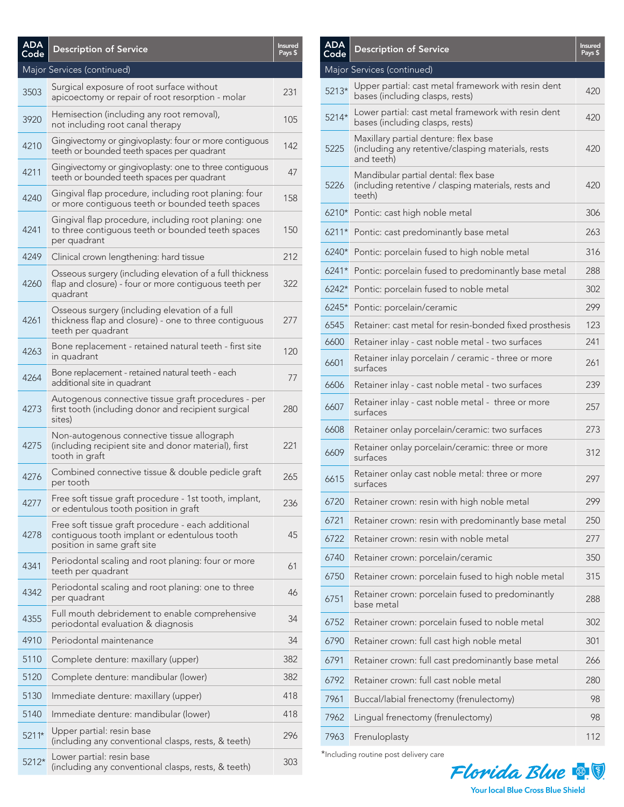| <b>ADA</b><br>Code | <b>Description of Service</b>                                                                                                     | <b>Insured</b><br>Pays \$ |
|--------------------|-----------------------------------------------------------------------------------------------------------------------------------|---------------------------|
|                    | Major Services (continued)                                                                                                        |                           |
| 3503               | Surgical exposure of root surface without<br>apicoectomy or repair of root resorption - molar                                     | 231                       |
| 3920               | Hemisection (including any root removal),<br>not including root canal therapy                                                     | 105                       |
| 4210               | Gingivectomy or gingivoplasty: four or more contiguous<br>teeth or bounded teeth spaces per quadrant                              | 142                       |
| 4211               | Gingivectomy or gingivoplasty: one to three contiguous<br>teeth or bounded teeth spaces per quadrant                              | 47                        |
| 4240               | Gingival flap procedure, including root planing: four<br>or more contiguous teeth or bounded teeth spaces                         | 158                       |
| 4241               | Gingival flap procedure, including root planing: one<br>to three contiguous teeth or bounded teeth spaces<br>per quadrant         | 150                       |
| 4249               | Clinical crown lengthening: hard tissue                                                                                           | 212                       |
| 4260               | Osseous surgery (including elevation of a full thickness<br>flap and closure) - four or more contiguous teeth per<br>quadrant     | 322                       |
| 4261               | Osseous surgery (including elevation of a full<br>thickness flap and closure) - one to three contiguous<br>teeth per quadrant     | 277                       |
| 4263               | Bone replacement - retained natural teeth - first site<br>in quadrant                                                             | 120                       |
| 4264               | Bone replacement - retained natural teeth - each<br>additional site in quadrant                                                   | 77                        |
| 4273               | Autogenous connective tissue graft procedures - per<br>first tooth (including donor and recipient surgical<br>sites)              | 280                       |
| 4275               | Non-autogenous connective tissue allograph<br>(including recipient site and donor material), first<br>tooth in graft              | 221                       |
| 4276               | Combined connective tissue & double pedicle graft<br>per tooth                                                                    | 265                       |
| 4277               | Free soft tissue graft procedure - 1st tooth, implant,<br>or edentulous tooth position in graft                                   | 236                       |
| 4278               | Free soft tissue graft procedure - each additional<br>contiguous tooth implant or edentulous tooth<br>position in same graft site | 45                        |
| 4341               | Periodontal scaling and root planing: four or more<br>teeth per quadrant                                                          | 61                        |
| 4342               | Periodontal scaling and root planing: one to three<br>per quadrant                                                                | 46                        |
| 4355               | Full mouth debridement to enable comprehensive<br>periodontal evaluation & diagnosis                                              | 34                        |
| 4910               | Periodontal maintenance                                                                                                           | 34                        |
| 5110               | Complete denture: maxillary (upper)                                                                                               | 382                       |
| 5120               | Complete denture: mandibular (lower)                                                                                              | 382                       |
| 5130               | Immediate denture: maxillary (upper)                                                                                              | 418                       |
| 5140               | Immediate denture: mandibular (lower)                                                                                             | 418                       |
| $5211*$            | Upper partial: resin base<br>(including any conventional clasps, rests, & teeth)                                                  | 296                       |
| 5212*              | Lower partial: resin base<br>(including any conventional clasps, rests, & teeth)                                                  | 303                       |

| ADA<br>Code | <b>Description of Service</b>                                                                            | <b>Insured</b><br>Pays \$ |
|-------------|----------------------------------------------------------------------------------------------------------|---------------------------|
|             | Major Services (continued)                                                                               |                           |
| $5213*$     | Upper partial: cast metal framework with resin dent<br>bases (including clasps, rests)                   | 420                       |
| 5214*       | Lower partial: cast metal framework with resin dent<br>bases (including clasps, rests)                   | 420                       |
| 5225        | Maxillary partial denture: flex base<br>(including any retentive/clasping materials, rests<br>and teeth) | 420                       |
| 5226        | Mandibular partial dental: flex base<br>(including retentive / clasping materials, rests and<br>teeth)   | 420                       |
|             | 6210* Pontic: cast high noble metal                                                                      | 306                       |
|             | 6211* Pontic: cast predominantly base metal                                                              | 263                       |
| $6240*$     | Pontic: porcelain fused to high noble metal                                                              | 316                       |
| $6241*$     | Pontic: porcelain fused to predominantly base metal                                                      | 288                       |
| $6242*$     | Pontic: porcelain fused to noble metal                                                                   | 302                       |
| $6245*$     | Pontic: porcelain/ceramic                                                                                | 299                       |
| 6545        | Retainer: cast metal for resin-bonded fixed prosthesis                                                   | 123                       |
| 6600        | Retainer inlay - cast noble metal - two surfaces                                                         | 241                       |
| 6601        | Retainer inlay porcelain / ceramic - three or more<br>surfaces                                           | 261                       |
| 6606        | Retainer inlay - cast noble metal - two surfaces                                                         | 239                       |
| 6607        | Retainer inlay - cast noble metal - three or more<br>surfaces                                            | 257                       |
| 6608        | Retainer onlay porcelain/ceramic: two surfaces                                                           | 273                       |
| 6609        | Retainer onlay porcelain/ceramic: three or more<br>surfaces                                              | 312                       |
| 6615        | Retainer onlay cast noble metal: three or more<br>surfaces                                               | 297                       |
| 6720        | Retainer crown: resin with high noble metal                                                              | 299                       |
| 6721        | Retainer crown: resin with predominantly base metal                                                      | 250                       |
| 6722        | Retainer crown: resin with noble metal                                                                   | 277                       |
| 6740        | Retainer crown: porcelain/ceramic                                                                        | 350                       |
| 6750        | Retainer crown: porcelain fused to high noble metal                                                      | 315                       |
| 6751        | Retainer crown: porcelain fused to predominantly<br>base metal                                           | 288                       |
| 6752        | Retainer crown: porcelain fused to noble metal                                                           | 302                       |
| 6790        | Retainer crown: full cast high noble metal                                                               | 301                       |
| 6791        | Retainer crown: full cast predominantly base metal                                                       | 266                       |
| 6792        | Retainer crown: full cast noble metal                                                                    | 280                       |
| 7961        | Buccal/labial frenectomy (frenulectomy)                                                                  | 98                        |
| 7962        | Lingual frenectomy (frenulectomy)                                                                        | 98                        |
| 7963        | Frenuloplasty                                                                                            | 112                       |
|             |                                                                                                          |                           |

\*Including routine post delivery care

ADA